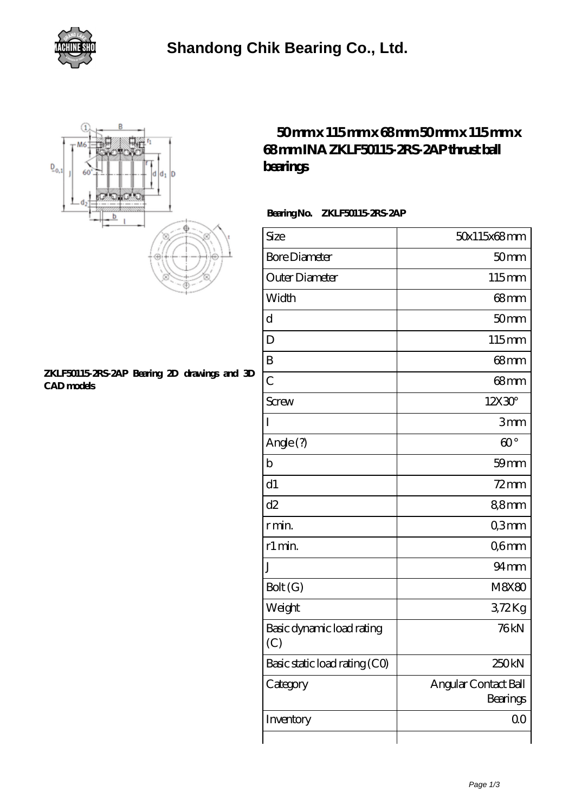



## **[ZKLF50115-2RS-2AP Bearing 2D drawings and 3D](https://m.harstorage.com/pic-346852.html) [CAD models](https://m.harstorage.com/pic-346852.html)**

## **[50 mm x 115 mm x 68 mm 50 mm x 115 mm x](https://m.harstorage.com/ina-zklf50115-2rs-2ap-bearing/) [68 mm INA ZKLF50115-2RS-2AP thrust ball](https://m.harstorage.com/ina-zklf50115-2rs-2ap-bearing/) [bearings](https://m.harstorage.com/ina-zklf50115-2rs-2ap-bearing/)**

 **Bearing No. ZKLF50115-2RS-2AP**

| Size                             | 50x115x68mm                      |
|----------------------------------|----------------------------------|
| <b>Bore Diameter</b>             | 50 <sub>mm</sub>                 |
| Outer Diameter                   | 115mm                            |
| Width                            | 68mm                             |
| d                                | 50mm                             |
| D                                | 115mm                            |
| B                                | 68 <sub>mm</sub>                 |
| $\overline{C}$                   | $68 \text{mm}$                   |
| <b>Screw</b>                     | 12X30 <sup>°</sup>               |
| I                                | 3mm                              |
| Angle(?)                         | $\omega$ <sup>o</sup>            |
| b                                | $59$ mm                          |
| d1                               | $72$ mm                          |
| d2                               | 88mm                             |
| r min.                           | Q3mm                             |
| r1 min.                          | Q6mm                             |
| J                                | $94 \text{mm}$                   |
| Bolt(G)                          | <b>M8X80</b>                     |
| Weight                           | 372Kg                            |
| Basic dynamic load rating<br>(C) | 76kN                             |
| Basic static load rating (CO)    | 250 <sub>kN</sub>                |
| Category                         | Angular Contact Ball<br>Bearings |
| Inventory                        | 0 <sub>0</sub>                   |
|                                  |                                  |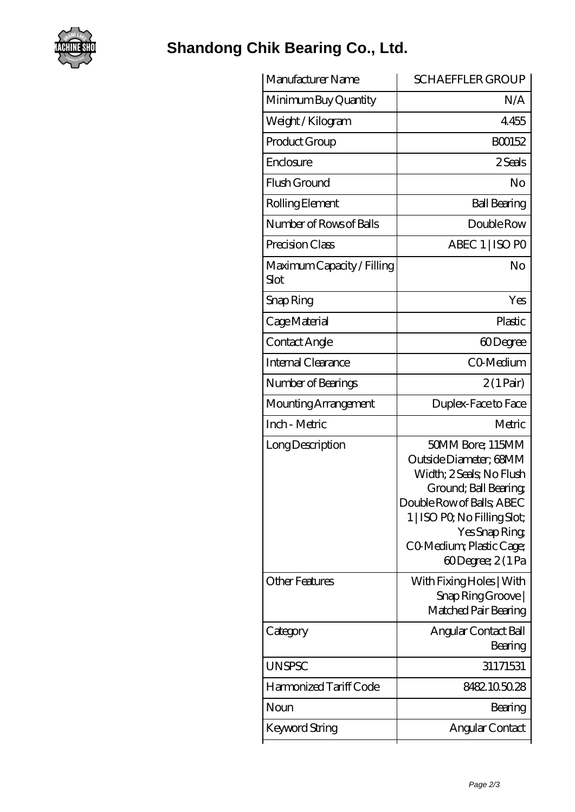

## **[Shandong Chik Bearing Co., Ltd.](https://m.harstorage.com)**

| Manufacturer Name                  | <b>SCHAEFFLER GROUP</b>                                                                                                                                                                                                      |
|------------------------------------|------------------------------------------------------------------------------------------------------------------------------------------------------------------------------------------------------------------------------|
| Minimum Buy Quantity               | N/A                                                                                                                                                                                                                          |
| Weight /Kilogram                   | 4455                                                                                                                                                                                                                         |
| Product Group                      | BO0152                                                                                                                                                                                                                       |
| Enclosure                          | 2 Seals                                                                                                                                                                                                                      |
| Flush Ground                       | No                                                                                                                                                                                                                           |
| Rolling Element                    | <b>Ball Bearing</b>                                                                                                                                                                                                          |
| Number of Rows of Balls            | Double Row                                                                                                                                                                                                                   |
| Precision Class                    | ABEC 1   ISO PO                                                                                                                                                                                                              |
| Maximum Capacity / Filling<br>Slot | No                                                                                                                                                                                                                           |
| Snap Ring                          | Yes                                                                                                                                                                                                                          |
| Cage Material                      | Plastic                                                                                                                                                                                                                      |
| Contact Angle                      | 60Degree                                                                                                                                                                                                                     |
| Internal Clearance                 | CO-Medium                                                                                                                                                                                                                    |
| Number of Bearings                 | $2(1 \text{Pair})$                                                                                                                                                                                                           |
| Mounting Arrangement               | Duplex-Face to Face                                                                                                                                                                                                          |
| Inch - Metric                      | Metric                                                                                                                                                                                                                       |
| Long Description                   | 50MM Bore; 115MM<br>Outside Diameter; 68MM<br>Width; 2 Seals; No Flush<br>Ground; Ball Bearing;<br>Double Row of Balls, ABEC<br>1   ISO PO, No Filling Slot;<br>Yes Snap Ring<br>CO Medium; Plastic Cage;<br>60Degree; 2(1Pa |
| <b>Other Features</b>              | With Fixing Holes   With<br>Snap Ring Groove<br>Matched Pair Bearing                                                                                                                                                         |
| Category                           | Angular Contact Ball<br>Bearing                                                                                                                                                                                              |
| <b>UNSPSC</b>                      | 31171531                                                                                                                                                                                                                     |
| Harmonized Tariff Code             | 8482.105028                                                                                                                                                                                                                  |
| Noun                               | Bearing                                                                                                                                                                                                                      |
| Keyword String                     | Angular Contact                                                                                                                                                                                                              |
|                                    |                                                                                                                                                                                                                              |